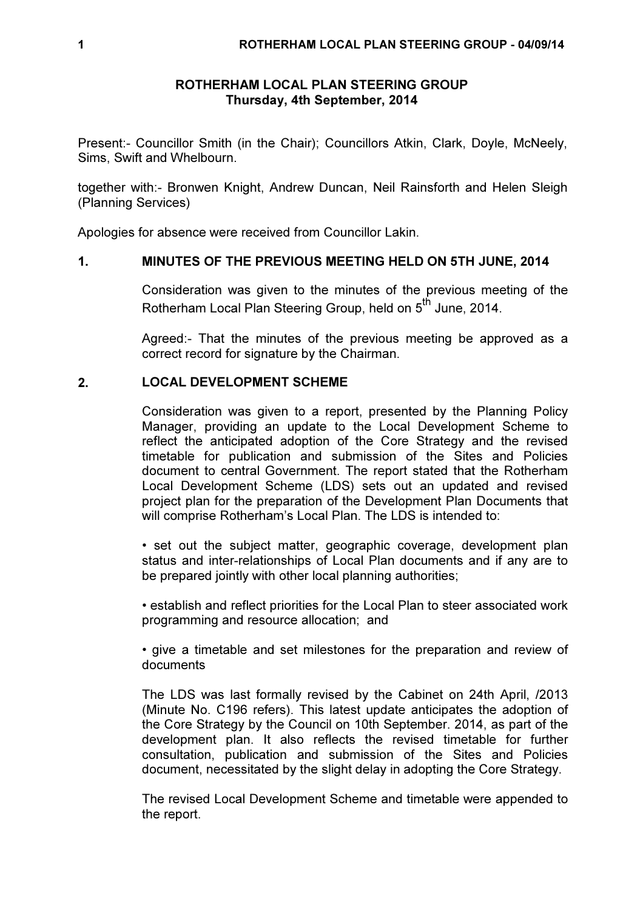### ROTHERHAM LOCAL PLAN STEERING GROUP Thursday, 4th September, 2014

Present:- Councillor Smith (in the Chair); Councillors Atkin, Clark, Doyle, McNeely, Sims, Swift and Whelbourn.

together with:- Bronwen Knight, Andrew Duncan, Neil Rainsforth and Helen Sleigh (Planning Services)

Apologies for absence were received from Councillor Lakin.

## 1. MINUTES OF THE PREVIOUS MEETING HELD ON 5TH JUNE, 2014

Consideration was given to the minutes of the previous meeting of the Rotherham Local Plan Steering Group, held on 5<sup>th</sup> June, 2014.

Agreed:- That the minutes of the previous meeting be approved as a correct record for signature by the Chairman.

## 2. LOCAL DEVELOPMENT SCHEME

Consideration was given to a report, presented by the Planning Policy Manager, providing an update to the Local Development Scheme to reflect the anticipated adoption of the Core Strategy and the revised timetable for publication and submission of the Sites and Policies document to central Government. The report stated that the Rotherham Local Development Scheme (LDS) sets out an updated and revised project plan for the preparation of the Development Plan Documents that will comprise Rotherham's Local Plan. The LDS is intended to:

• set out the subject matter, geographic coverage, development plan status and inter-relationships of Local Plan documents and if any are to be prepared jointly with other local planning authorities;

• establish and reflect priorities for the Local Plan to steer associated work programming and resource allocation; and

• give a timetable and set milestones for the preparation and review of documents

The LDS was last formally revised by the Cabinet on 24th April, /2013 (Minute No. C196 refers). This latest update anticipates the adoption of the Core Strategy by the Council on 10th September. 2014, as part of the development plan. It also reflects the revised timetable for further consultation, publication and submission of the Sites and Policies document, necessitated by the slight delay in adopting the Core Strategy.

The revised Local Development Scheme and timetable were appended to the report.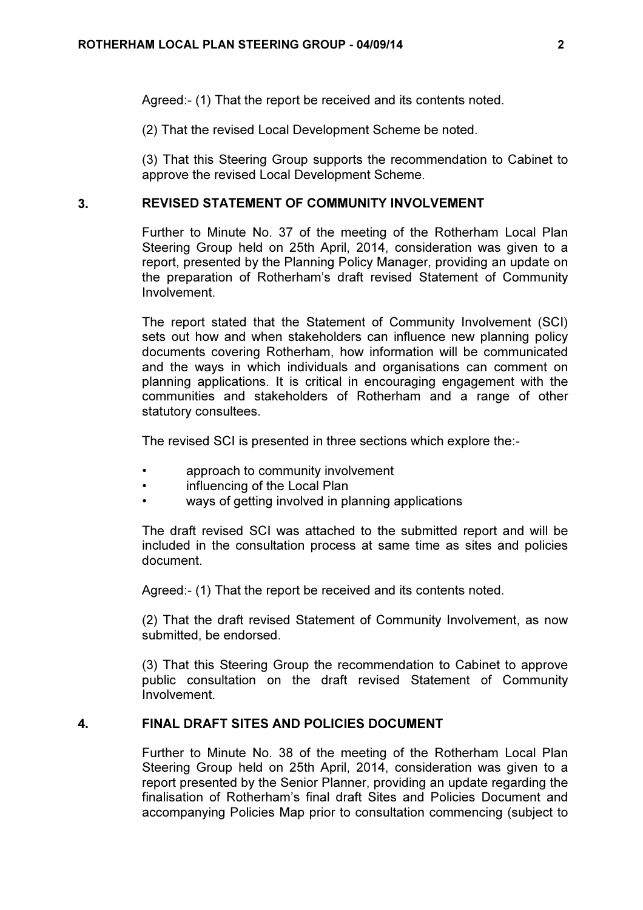Agreed:- (1) That the report be received and its contents noted.

(2) That the revised Local Development Scheme be noted.

(3) That this Steering Group supports the recommendation to Cabinet to approve the revised Local Development Scheme.

### 3. REVISED STATEMENT OF COMMUNITY INVOLVEMENT

Further to Minute No. 37 of the meeting of the Rotherham Local Plan Steering Group held on 25th April, 2014, consideration was given to a report, presented by the Planning Policy Manager, providing an update on the preparation of Rotherham's draft revised Statement of Community Involvement.

The report stated that the Statement of Community Involvement (SCI) sets out how and when stakeholders can influence new planning policy documents covering Rotherham, how information will be communicated and the ways in which individuals and organisations can comment on planning applications. It is critical in encouraging engagement with the communities and stakeholders of Rotherham and a range of other statutory consultees.

The revised SCI is presented in three sections which explore the:-

- approach to community involvement
- influencing of the Local Plan
- ways of getting involved in planning applications

The draft revised SCI was attached to the submitted report and will be included in the consultation process at same time as sites and policies document.

Agreed:- (1) That the report be received and its contents noted.

(2) That the draft revised Statement of Community Involvement, as now submitted, be endorsed.

(3) That this Steering Group the recommendation to Cabinet to approve public consultation on the draft revised Statement of Community Involvement.

#### 4. FINAL DRAFT SITES AND POLICIES DOCUMENT

Further to Minute No. 38 of the meeting of the Rotherham Local Plan Steering Group held on 25th April, 2014, consideration was given to a report presented by the Senior Planner, providing an update regarding the finalisation of Rotherham's final draft Sites and Policies Document and accompanying Policies Map prior to consultation commencing (subject to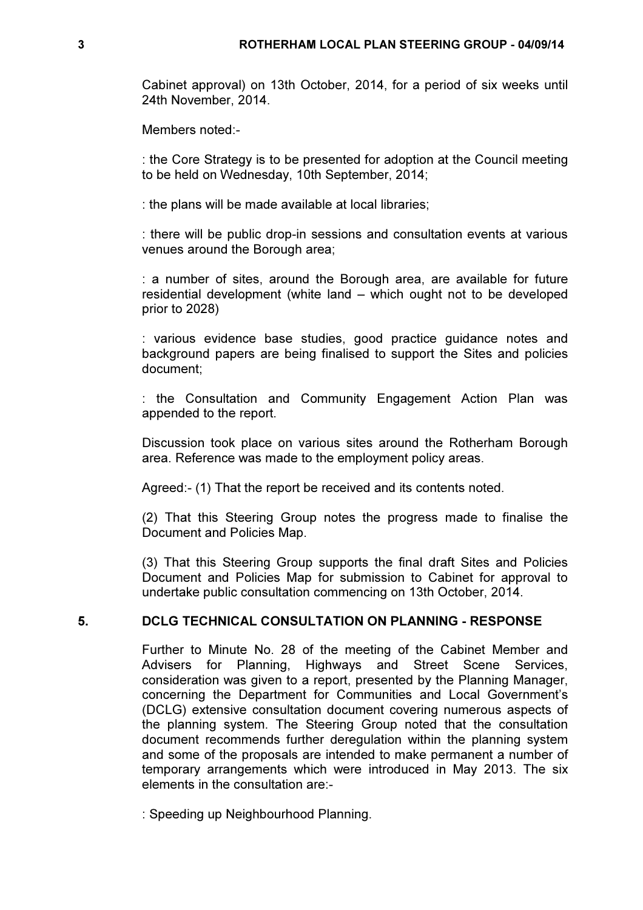Cabinet approval) on 13th October, 2014, for a period of six weeks until 24th November, 2014.

Members noted:-

: the Core Strategy is to be presented for adoption at the Council meeting to be held on Wednesday, 10th September, 2014;

: the plans will be made available at local libraries;

: there will be public drop-in sessions and consultation events at various venues around the Borough area;

: a number of sites, around the Borough area, are available for future residential development (white land – which ought not to be developed prior to 2028)

: various evidence base studies, good practice guidance notes and background papers are being finalised to support the Sites and policies document;

: the Consultation and Community Engagement Action Plan was appended to the report.

Discussion took place on various sites around the Rotherham Borough area. Reference was made to the employment policy areas.

Agreed:- (1) That the report be received and its contents noted.

(2) That this Steering Group notes the progress made to finalise the Document and Policies Map.

(3) That this Steering Group supports the final draft Sites and Policies Document and Policies Map for submission to Cabinet for approval to undertake public consultation commencing on 13th October, 2014.

# 5. DCLG TECHNICAL CONSULTATION ON PLANNING - RESPONSE

Further to Minute No. 28 of the meeting of the Cabinet Member and Advisers for Planning, Highways and Street Scene Services, consideration was given to a report, presented by the Planning Manager, concerning the Department for Communities and Local Government's (DCLG) extensive consultation document covering numerous aspects of the planning system. The Steering Group noted that the consultation document recommends further deregulation within the planning system and some of the proposals are intended to make permanent a number of temporary arrangements which were introduced in May 2013. The six elements in the consultation are:-

: Speeding up Neighbourhood Planning.